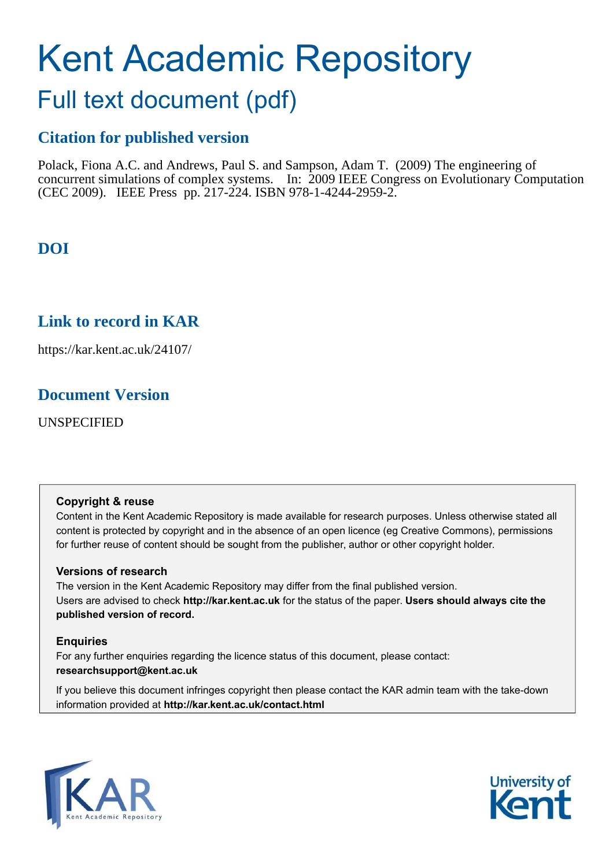# Kent Academic Repository

## Full text document (pdf)

## **Citation for published version**

Polack, Fiona A.C. and Andrews, Paul S. and Sampson, Adam T. (2009) The engineering of concurrent simulations of complex systems. In: 2009 IEEE Congress on Evolutionary Computation (CEC 2009). IEEE Press pp. 217-224. ISBN 978-1-4244-2959-2.

## **DOI**

## **Link to record in KAR**

https://kar.kent.ac.uk/24107/

## **Document Version**

UNSPECIFIED

#### **Copyright & reuse**

Content in the Kent Academic Repository is made available for research purposes. Unless otherwise stated all content is protected by copyright and in the absence of an open licence (eg Creative Commons), permissions for further reuse of content should be sought from the publisher, author or other copyright holder.

#### **Versions of research**

The version in the Kent Academic Repository may differ from the final published version. Users are advised to check **http://kar.kent.ac.uk** for the status of the paper. **Users should always cite the published version of record.**

#### **Enquiries**

For any further enquiries regarding the licence status of this document, please contact: **researchsupport@kent.ac.uk**

If you believe this document infringes copyright then please contact the KAR admin team with the take-down information provided at **http://kar.kent.ac.uk/contact.html**



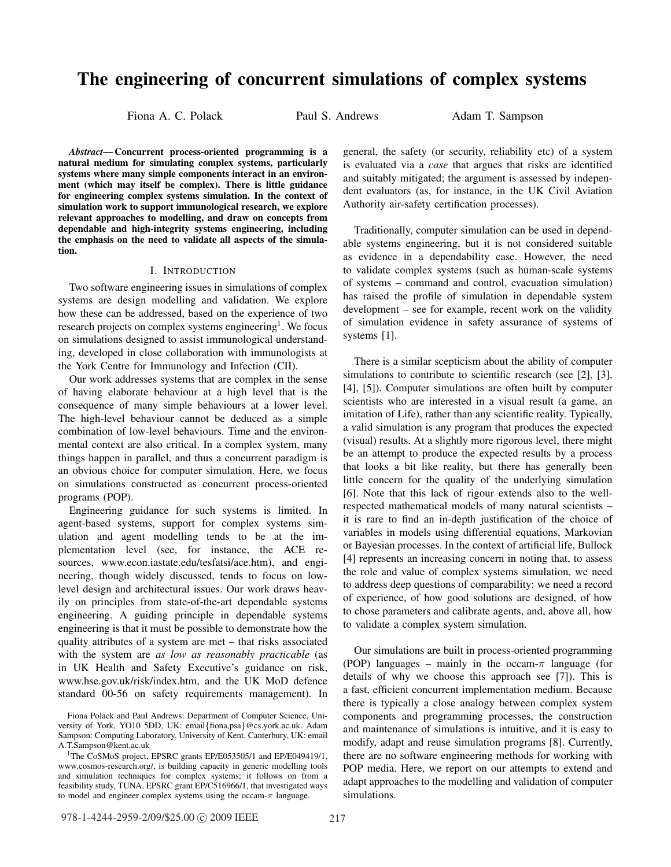### The engineering of concurrent simulations of complex systems

Fiona A. C. Polack Paul S. Andrews Adam T. Sampson

*Abstract*— Concurrent process-oriented programming is a natural medium for simulating complex systems, particularly systems where many simple components interact in an environment (which may itself be complex). There is little guidance for engineering complex systems simulation. In the context of simulation work to support immunological research, we explore relevant approaches to modelling, and draw on concepts from dependable and high-integrity systems engineering, including the emphasis on the need to validate all aspects of the simulation.

#### I. INTRODUCTION

Two software engineering issues in simulations of complex systems are design modelling and validation. We explore how these can be addressed, based on the experience of two research projects on complex systems engineering<sup>1</sup>. We focus on simulations designed to assist immunological understanding, developed in close collaboration with immunologists at the York Centre for Immunology and Infection (CII).

Our work addresses systems that are complex in the sense of having elaborate behaviour at a high level that is the consequence of many simple behaviours at a lower level. The high-level behaviour cannot be deduced as a simple combination of low-level behaviours. Time and the environmental context are also critical. In a complex system, many things happen in parallel, and thus a concurrent paradigm is an obvious choice for computer simulation. Here, we focus on simulations constructed as concurrent process-oriented programs (POP).

Engineering guidance for such systems is limited. In agent-based systems, support for complex systems simulation and agent modelling tends to be at the implementation level (see, for instance, the ACE resources, www.econ.iastate.edu/tesfatsi/ace.htm), and engineering, though widely discussed, tends to focus on lowlevel design and architectural issues. Our work draws heavily on principles from state-of-the-art dependable systems engineering. A guiding principle in dependable systems engineering is that it must be possible to demonstrate how the quality attributes of a system are met – that risks associated with the system are *as low as reasonably practicable* (as in UK Health and Safety Executive's guidance on risk, www.hse.gov.uk/risk/index.htm, and the UK MoD defence standard 00-56 on safety requirements management). In general, the safety (or security, reliability etc) of a system is evaluated via a *case* that argues that risks are identified and suitably mitigated; the argument is assessed by independent evaluators (as, for instance, in the UK Civil Aviation Authority air-safety certification processes).

Traditionally, computer simulation can be used in dependable systems engineering, but it is not considered suitable as evidence in a dependability case. However, the need to validate complex systems (such as human-scale systems of systems – command and control, evacuation simulation) has raised the profile of simulation in dependable system development – see for example, recent work on the validity of simulation evidence in safety assurance of systems of systems [1].

There is a similar scepticism about the ability of computer simulations to contribute to scientific research (see [2], [3], [4], [5]). Computer simulations are often built by computer scientists who are interested in a visual result (a game, an imitation of Life), rather than any scientific reality. Typically, a valid simulation is any program that produces the expected (visual) results. At a slightly more rigorous level, there might be an attempt to produce the expected results by a process that looks a bit like reality, but there has generally been little concern for the quality of the underlying simulation [6]. Note that this lack of rigour extends also to the wellrespected mathematical models of many natural scientists – it is rare to find an in-depth justification of the choice of variables in models using differential equations, Markovian or Bayesian processes. In the context of artificial life, Bullock [4] represents an increasing concern in noting that, to assess the role and value of complex systems simulation, we need to address deep questions of comparability: we need a record of experience, of how good solutions are designed, of how to chose parameters and calibrate agents, and, above all, how to validate a complex system simulation.

Our simulations are built in process-oriented programming (POP) languages – mainly in the occam- $\pi$  language (for details of why we choose this approach see [7]). This is a fast, efficient concurrent implementation medium. Because there is typically a close analogy between complex system components and programming processes, the construction and maintenance of simulations is intuitive, and it is easy to modify, adapt and reuse simulation programs [8]. Currently, there are no software engineering methods for working with POP media. Here, we report on our attempts to extend and adapt approaches to the modelling and validation of computer simulations.

Fiona Polack and Paul Andrews: Department of Computer Science, University of York, YO10 5DD, UK: email{fiona,psa}@cs.york.ac.uk. Adam Sampson: Computing Laboratory, University of Kent, Canterbury, UK: email A.T.Sampson@kent.ac.uk

<sup>&</sup>lt;sup>1</sup>The CoSMoS project, EPSRC grants EP/E053505/1 and EP/E049419/1, www.cosmos-research.org/, is building capacity in generic modelling tools and simulation techniques for complex systems; it follows on from a feasibility study, TUNA, EPSRC grant EP/C516966/1, that investigated ways to model and engineer complex systems using the occam- $\pi$  language.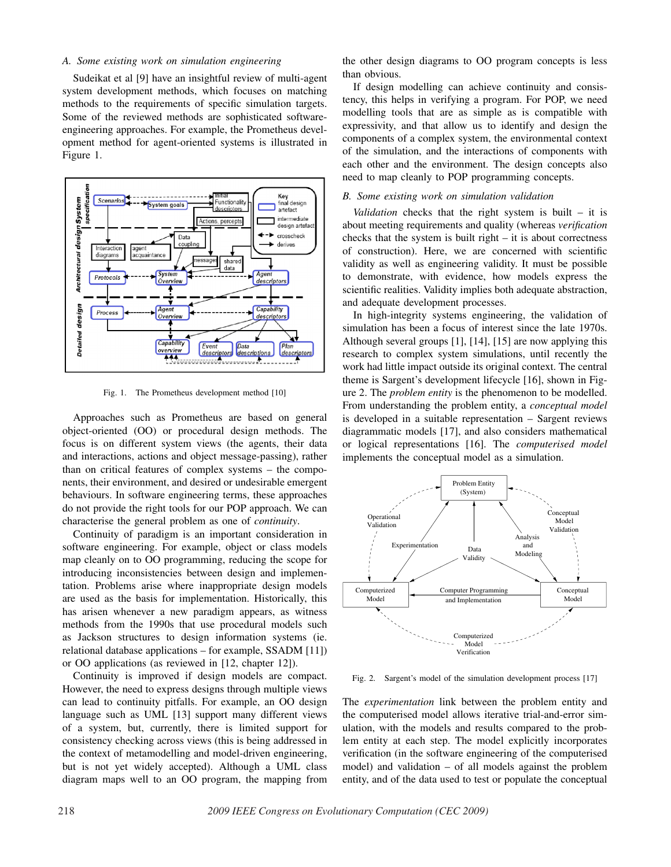#### *A. Some existing work on simulation engineering*

Sudeikat et al [9] have an insightful review of multi-agent system development methods, which focuses on matching methods to the requirements of specific simulation targets. Some of the reviewed methods are sophisticated softwareengineering approaches. For example, the Prometheus development method for agent-oriented systems is illustrated in Figure 1.



Fig. 1. The Prometheus development method [10]

Approaches such as Prometheus are based on general object-oriented (OO) or procedural design methods. The focus is on different system views (the agents, their data and interactions, actions and object message-passing), rather than on critical features of complex systems – the components, their environment, and desired or undesirable emergent behaviours. In software engineering terms, these approaches do not provide the right tools for our POP approach. We can characterise the general problem as one of *continuity*.

Continuity of paradigm is an important consideration in software engineering. For example, object or class models map cleanly on to OO programming, reducing the scope for introducing inconsistencies between design and implementation. Problems arise where inappropriate design models are used as the basis for implementation. Historically, this has arisen whenever a new paradigm appears, as witness methods from the 1990s that use procedural models such as Jackson structures to design information systems (ie. relational database applications – for example, SSADM [11]) or OO applications (as reviewed in [12, chapter 12]).

Continuity is improved if design models are compact. However, the need to express designs through multiple views can lead to continuity pitfalls. For example, an OO design language such as UML [13] support many different views of a system, but, currently, there is limited support for consistency checking across views (this is being addressed in the context of metamodelling and model-driven engineering, but is not yet widely accepted). Although a UML class diagram maps well to an OO program, the mapping from

the other design diagrams to OO program concepts is less than obvious.

If design modelling can achieve continuity and consistency, this helps in verifying a program. For POP, we need modelling tools that are as simple as is compatible with expressivity, and that allow us to identify and design the components of a complex system, the environmental context of the simulation, and the interactions of components with each other and the environment. The design concepts also need to map cleanly to POP programming concepts.

#### *B. Some existing work on simulation validation*

*Validation* checks that the right system is built – it is about meeting requirements and quality (whereas *verification* checks that the system is built right – it is about correctness of construction). Here, we are concerned with scientific validity as well as engineering validity. It must be possible to demonstrate, with evidence, how models express the scientific realities. Validity implies both adequate abstraction, and adequate development processes.

In high-integrity systems engineering, the validation of simulation has been a focus of interest since the late 1970s. Although several groups [1], [14], [15] are now applying this research to complex system simulations, until recently the work had little impact outside its original context. The central theme is Sargent's development lifecycle [16], shown in Figure 2. The *problem entity* is the phenomenon to be modelled. From understanding the problem entity, a *conceptual model* is developed in a suitable representation – Sargent reviews diagrammatic models [17], and also considers mathematical or logical representations [16]. The *computerised model* implements the conceptual model as a simulation.



Fig. 2. Sargent's model of the simulation development process [17]

The *experimentation* link between the problem entity and the computerised model allows iterative trial-and-error simulation, with the models and results compared to the problem entity at each step. The model explicitly incorporates verification (in the software engineering of the computerised model) and validation – of all models against the problem entity, and of the data used to test or populate the conceptual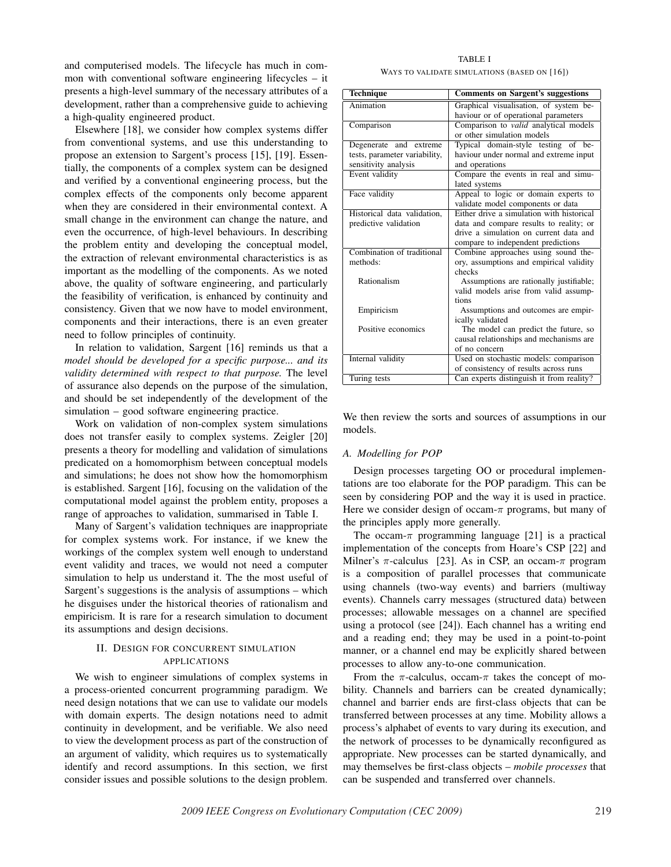and computerised models. The lifecycle has much in common with conventional software engineering lifecycles – it presents a high-level summary of the necessary attributes of a development, rather than a comprehensive guide to achieving a high-quality engineered product.

Elsewhere [18], we consider how complex systems differ from conventional systems, and use this understanding to propose an extension to Sargent's process [15], [19]. Essentially, the components of a complex system can be designed and verified by a conventional engineering process, but the complex effects of the components only become apparent when they are considered in their environmental context. A small change in the environment can change the nature, and even the occurrence, of high-level behaviours. In describing the problem entity and developing the conceptual model, the extraction of relevant environmental characteristics is as important as the modelling of the components. As we noted above, the quality of software engineering, and particularly the feasibility of verification, is enhanced by continuity and consistency. Given that we now have to model environment, components and their interactions, there is an even greater need to follow principles of continuity.

In relation to validation, Sargent [16] reminds us that a *model should be developed for a specific purpose... and its validity determined with respect to that purpose.* The level of assurance also depends on the purpose of the simulation, and should be set independently of the development of the simulation – good software engineering practice.

Work on validation of non-complex system simulations does not transfer easily to complex systems. Zeigler [20] presents a theory for modelling and validation of simulations predicated on a homomorphism between conceptual models and simulations; he does not show how the homomorphism is established. Sargent [16], focusing on the validation of the computational model against the problem entity, proposes a range of approaches to validation, summarised in Table I.

Many of Sargent's validation techniques are inappropriate for complex systems work. For instance, if we knew the workings of the complex system well enough to understand event validity and traces, we would not need a computer simulation to help us understand it. The the most useful of Sargent's suggestions is the analysis of assumptions – which he disguises under the historical theories of rationalism and empiricism. It is rare for a research simulation to document its assumptions and design decisions.

#### II. DESIGN FOR CONCURRENT SIMULATION APPLICATIONS

We wish to engineer simulations of complex systems in a process-oriented concurrent programming paradigm. We need design notations that we can use to validate our models with domain experts. The design notations need to admit continuity in development, and be verifiable. We also need to view the development process as part of the construction of an argument of validity, which requires us to systematically identify and record assumptions. In this section, we first consider issues and possible solutions to the design problem.

#### TABLE I WAYS TO VALIDATE SIMULATIONS (BASED ON [16])

| <b>Technique</b>              | <b>Comments on Sargent's suggestions</b>  |
|-------------------------------|-------------------------------------------|
| Animation                     | Graphical visualisation, of system be-    |
|                               | haviour or of operational parameters      |
| Comparison                    | Comparison to valid analytical models     |
|                               | or other simulation models                |
| Degenerate and extreme        | Typical domain-style testing of be-       |
| tests, parameter variability, | haviour under normal and extreme input    |
| sensitivity analysis          | and operations                            |
| Event validity                | Compare the events in real and simu-      |
|                               | lated systems                             |
| Face validity                 | Appeal to logic or domain experts to      |
|                               | validate model components or data         |
| Historical data validation,   | Either drive a simulation with historical |
| predictive validation         | data and compare results to reality; or   |
|                               | drive a simulation on current data and    |
|                               | compare to independent predictions        |
| Combination of traditional    | Combine approaches using sound the-       |
| methods:                      | ory, assumptions and empirical validity   |
|                               | checks                                    |
| Rationalism                   | Assumptions are rationally justifiable;   |
|                               | valid models arise from valid assump-     |
|                               | tions                                     |
| Empiricism                    | Assumptions and outcomes are empir-       |
|                               | ically validated                          |
| Positive economics            | The model can predict the future, so      |
|                               | causal relationships and mechanisms are   |
|                               | of no concern                             |
| Internal validity             | Used on stochastic models: comparison     |
|                               | of consistency of results across runs     |
| Turing tests                  | Can experts distinguish it from reality?  |

We then review the sorts and sources of assumptions in our models.

#### *A. Modelling for POP*

Design processes targeting OO or procedural implementations are too elaborate for the POP paradigm. This can be seen by considering POP and the way it is used in practice. Here we consider design of occam- $\pi$  programs, but many of the principles apply more generally.

The occam- $\pi$  programming language [21] is a practical implementation of the concepts from Hoare's CSP [22] and Milner's  $\pi$ -calculus [23]. As in CSP, an occam- $\pi$  program is a composition of parallel processes that communicate using channels (two-way events) and barriers (multiway events). Channels carry messages (structured data) between processes; allowable messages on a channel are specified using a protocol (see [24]). Each channel has a writing end and a reading end; they may be used in a point-to-point manner, or a channel end may be explicitly shared between processes to allow any-to-one communication.

From the  $\pi$ -calculus, occam- $\pi$  takes the concept of mobility. Channels and barriers can be created dynamically; channel and barrier ends are first-class objects that can be transferred between processes at any time. Mobility allows a process's alphabet of events to vary during its execution, and the network of processes to be dynamically reconfigured as appropriate. New processes can be started dynamically, and may themselves be first-class objects – *mobile processes* that can be suspended and transferred over channels.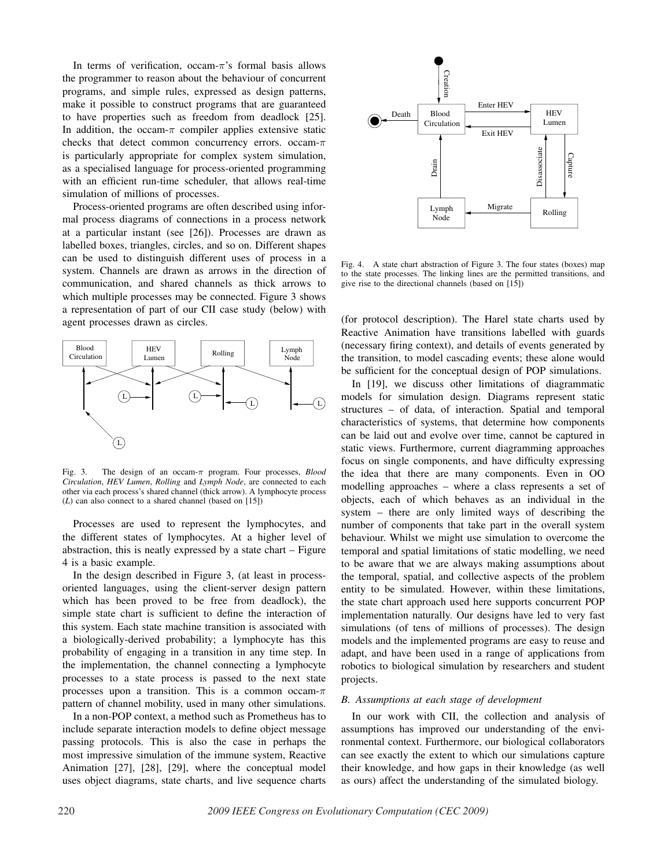In terms of verification, occam- $\pi$ 's formal basis allows the programmer to reason about the behaviour of concurrent programs, and simple rules, expressed as design patterns, make it possible to construct programs that are guaranteed to have properties such as freedom from deadlock [25]. In addition, the occam- $\pi$  compiler applies extensive static checks that detect common concurrency errors. occam- $\pi$ is particularly appropriate for complex system simulation, as a specialised language for process-oriented programming with an efficient run-time scheduler, that allows real-time simulation of millions of processes.

Process-oriented programs are often described using informal process diagrams of connections in a process network at a particular instant (see [26]). Processes are drawn as labelled boxes, triangles, circles, and so on. Different shapes can be used to distinguish different uses of process in a system. Channels are drawn as arrows in the direction of communication, and shared channels as thick arrows to which multiple processes may be connected. Figure 3 shows a representation of part of our CII case study (below) with agent processes drawn as circles.



Fig. 3. The design of an occam-π program. Four processes, *Blood Circulation*, *HEV Lumen*, *Rolling* and *Lymph Node*, are connected to each other via each process's shared channel (thick arrow). A lymphocyte process (*L*) can also connect to a shared channel (based on [15])

Processes are used to represent the lymphocytes, and the different states of lymphocytes. At a higher level of abstraction, this is neatly expressed by a state chart – Figure 4 is a basic example.

In the design described in Figure 3, (at least in processoriented languages, using the client-server design pattern which has been proved to be free from deadlock), the simple state chart is sufficient to define the interaction of this system. Each state machine transition is associated with a biologically-derived probability; a lymphocyte has this probability of engaging in a transition in any time step. In the implementation, the channel connecting a lymphocyte processes to a state process is passed to the next state processes upon a transition. This is a common occam- $\pi$ pattern of channel mobility, used in many other simulations.

In a non-POP context, a method such as Prometheus has to include separate interaction models to define object message passing protocols. This is also the case in perhaps the most impressive simulation of the immune system, Reactive Animation [27], [28], [29], where the conceptual model uses object diagrams, state charts, and live sequence charts



Fig. 4. A state chart abstraction of Figure 3. The four states (boxes) map to the state processes. The linking lines are the permitted transitions, and give rise to the directional channels (based on [15])

(for protocol description). The Harel state charts used by Reactive Animation have transitions labelled with guards (necessary firing context), and details of events generated by the transition, to model cascading events; these alone would be sufficient for the conceptual design of POP simulations.

In [19], we discuss other limitations of diagrammatic models for simulation design. Diagrams represent static structures – of data, of interaction. Spatial and temporal characteristics of systems, that determine how components can be laid out and evolve over time, cannot be captured in static views. Furthermore, current diagramming approaches focus on single components, and have difficulty expressing the idea that there are many components. Even in OO modelling approaches – where a class represents a set of objects, each of which behaves as an individual in the system – there are only limited ways of describing the number of components that take part in the overall system behaviour. Whilst we might use simulation to overcome the temporal and spatial limitations of static modelling, we need to be aware that we are always making assumptions about the temporal, spatial, and collective aspects of the problem entity to be simulated. However, within these limitations, the state chart approach used here supports concurrent POP implementation naturally. Our designs have led to very fast simulations (of tens of millions of processes). The design models and the implemented programs are easy to reuse and adapt, and have been used in a range of applications from robotics to biological simulation by researchers and student projects.

#### *B. Assumptions at each stage of development*

In our work with CII, the collection and analysis of assumptions has improved our understanding of the environmental context. Furthermore, our biological collaborators can see exactly the extent to which our simulations capture their knowledge, and how gaps in their knowledge (as well as ours) affect the understanding of the simulated biology.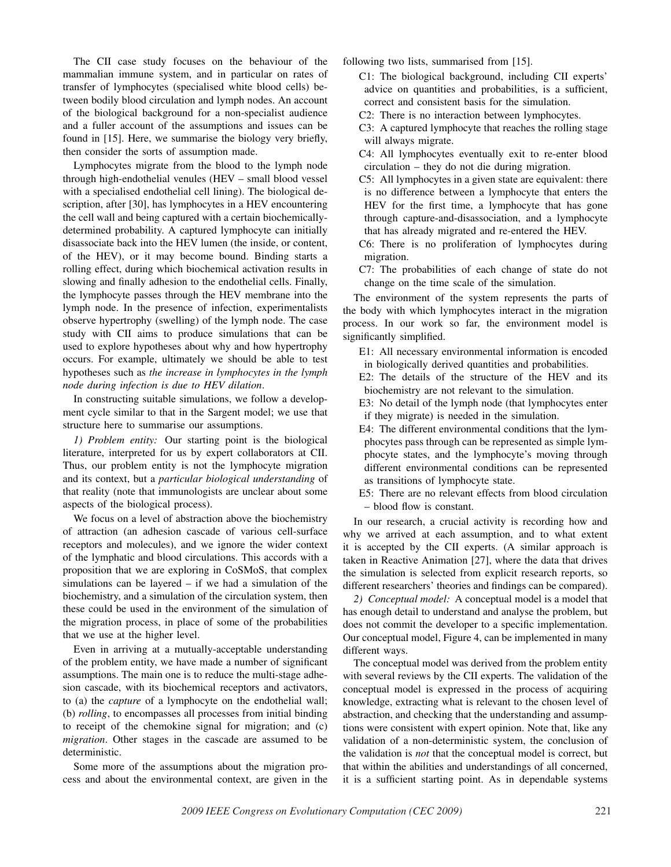The CII case study focuses on the behaviour of the mammalian immune system, and in particular on rates of transfer of lymphocytes (specialised white blood cells) between bodily blood circulation and lymph nodes. An account of the biological background for a non-specialist audience and a fuller account of the assumptions and issues can be found in [15]. Here, we summarise the biology very briefly, then consider the sorts of assumption made.

Lymphocytes migrate from the blood to the lymph node through high-endothelial venules (HEV – small blood vessel with a specialised endothelial cell lining). The biological description, after [30], has lymphocytes in a HEV encountering the cell wall and being captured with a certain biochemicallydetermined probability. A captured lymphocyte can initially disassociate back into the HEV lumen (the inside, or content, of the HEV), or it may become bound. Binding starts a rolling effect, during which biochemical activation results in slowing and finally adhesion to the endothelial cells. Finally, the lymphocyte passes through the HEV membrane into the lymph node. In the presence of infection, experimentalists observe hypertrophy (swelling) of the lymph node. The case study with CII aims to produce simulations that can be used to explore hypotheses about why and how hypertrophy occurs. For example, ultimately we should be able to test hypotheses such as *the increase in lymphocytes in the lymph node during infection is due to HEV dilation*.

In constructing suitable simulations, we follow a development cycle similar to that in the Sargent model; we use that structure here to summarise our assumptions.

*1) Problem entity:* Our starting point is the biological literature, interpreted for us by expert collaborators at CII. Thus, our problem entity is not the lymphocyte migration and its context, but a *particular biological understanding* of that reality (note that immunologists are unclear about some aspects of the biological process).

We focus on a level of abstraction above the biochemistry of attraction (an adhesion cascade of various cell-surface receptors and molecules), and we ignore the wider context of the lymphatic and blood circulations. This accords with a proposition that we are exploring in CoSMoS, that complex simulations can be layered – if we had a simulation of the biochemistry, and a simulation of the circulation system, then these could be used in the environment of the simulation of the migration process, in place of some of the probabilities that we use at the higher level.

Even in arriving at a mutually-acceptable understanding of the problem entity, we have made a number of significant assumptions. The main one is to reduce the multi-stage adhesion cascade, with its biochemical receptors and activators, to (a) the *capture* of a lymphocyte on the endothelial wall; (b) *rolling*, to encompasses all processes from initial binding to receipt of the chemokine signal for migration; and (c) *migration*. Other stages in the cascade are assumed to be deterministic.

Some more of the assumptions about the migration process and about the environmental context, are given in the following two lists, summarised from [15].

- C1: The biological background, including CII experts' advice on quantities and probabilities, is a sufficient, correct and consistent basis for the simulation.
- C2: There is no interaction between lymphocytes.
- C3: A captured lymphocyte that reaches the rolling stage will always migrate.
- C4: All lymphocytes eventually exit to re-enter blood circulation – they do not die during migration.
- C5: All lymphocytes in a given state are equivalent: there is no difference between a lymphocyte that enters the HEV for the first time, a lymphocyte that has gone through capture-and-disassociation, and a lymphocyte that has already migrated and re-entered the HEV.
- C6: There is no proliferation of lymphocytes during migration.
- C7: The probabilities of each change of state do not change on the time scale of the simulation.

The environment of the system represents the parts of the body with which lymphocytes interact in the migration process. In our work so far, the environment model is significantly simplified.

- E1: All necessary environmental information is encoded in biologically derived quantities and probabilities.
- E2: The details of the structure of the HEV and its biochemistry are not relevant to the simulation.
- E3: No detail of the lymph node (that lymphocytes enter if they migrate) is needed in the simulation.
- E4: The different environmental conditions that the lymphocytes pass through can be represented as simple lymphocyte states, and the lymphocyte's moving through different environmental conditions can be represented as transitions of lymphocyte state.
- E5: There are no relevant effects from blood circulation – blood flow is constant.

In our research, a crucial activity is recording how and why we arrived at each assumption, and to what extent it is accepted by the CII experts. (A similar approach is taken in Reactive Animation [27], where the data that drives the simulation is selected from explicit research reports, so different researchers' theories and findings can be compared).

*2) Conceptual model:* A conceptual model is a model that has enough detail to understand and analyse the problem, but does not commit the developer to a specific implementation. Our conceptual model, Figure 4, can be implemented in many different ways.

The conceptual model was derived from the problem entity with several reviews by the CII experts. The validation of the conceptual model is expressed in the process of acquiring knowledge, extracting what is relevant to the chosen level of abstraction, and checking that the understanding and assumptions were consistent with expert opinion. Note that, like any validation of a non-deterministic system, the conclusion of the validation is *not* that the conceptual model is correct, but that within the abilities and understandings of all concerned, it is a sufficient starting point. As in dependable systems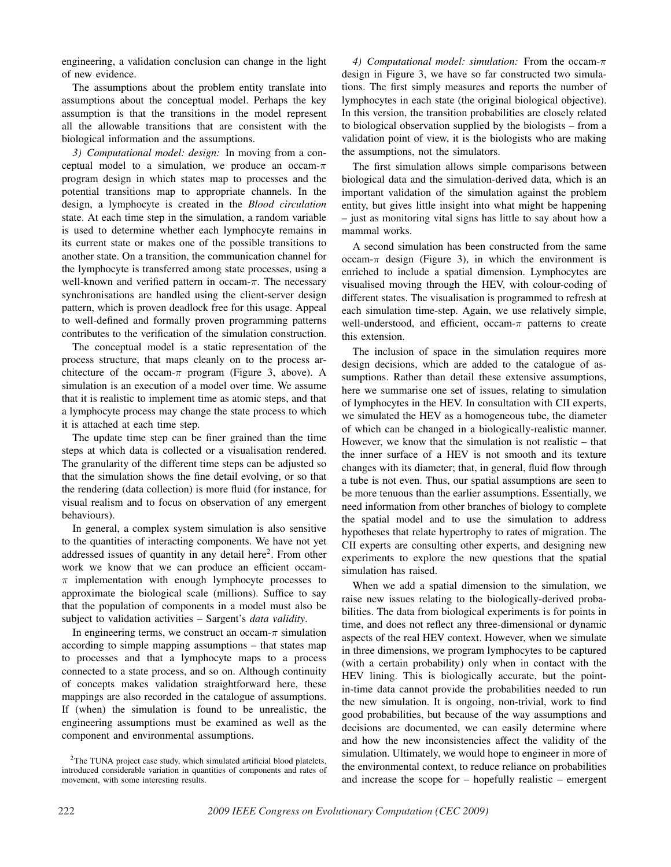engineering, a validation conclusion can change in the light of new evidence.

The assumptions about the problem entity translate into assumptions about the conceptual model. Perhaps the key assumption is that the transitions in the model represent all the allowable transitions that are consistent with the biological information and the assumptions.

*3) Computational model: design:* In moving from a conceptual model to a simulation, we produce an occam- $\pi$ program design in which states map to processes and the potential transitions map to appropriate channels. In the design, a lymphocyte is created in the *Blood circulation* state. At each time step in the simulation, a random variable is used to determine whether each lymphocyte remains in its current state or makes one of the possible transitions to another state. On a transition, the communication channel for the lymphocyte is transferred among state processes, using a well-known and verified pattern in occam- $\pi$ . The necessary synchronisations are handled using the client-server design pattern, which is proven deadlock free for this usage. Appeal to well-defined and formally proven programming patterns contributes to the verification of the simulation construction.

The conceptual model is a static representation of the process structure, that maps cleanly on to the process architecture of the occam- $\pi$  program (Figure 3, above). A simulation is an execution of a model over time. We assume that it is realistic to implement time as atomic steps, and that a lymphocyte process may change the state process to which it is attached at each time step.

The update time step can be finer grained than the time steps at which data is collected or a visualisation rendered. The granularity of the different time steps can be adjusted so that the simulation shows the fine detail evolving, or so that the rendering (data collection) is more fluid (for instance, for visual realism and to focus on observation of any emergent behaviours).

In general, a complex system simulation is also sensitive to the quantities of interacting components. We have not yet addressed issues of quantity in any detail here<sup>2</sup>. From other work we know that we can produce an efficient occam- $\pi$  implementation with enough lymphocyte processes to approximate the biological scale (millions). Suffice to say that the population of components in a model must also be subject to validation activities – Sargent's *data validity*.

In engineering terms, we construct an occam- $\pi$  simulation according to simple mapping assumptions – that states map to processes and that a lymphocyte maps to a process connected to a state process, and so on. Although continuity of concepts makes validation straightforward here, these mappings are also recorded in the catalogue of assumptions. If (when) the simulation is found to be unrealistic, the engineering assumptions must be examined as well as the component and environmental assumptions.

*4) Computational model: simulation:* From the occam-π design in Figure 3, we have so far constructed two simulations. The first simply measures and reports the number of lymphocytes in each state (the original biological objective). In this version, the transition probabilities are closely related to biological observation supplied by the biologists – from a validation point of view, it is the biologists who are making the assumptions, not the simulators.

The first simulation allows simple comparisons between biological data and the simulation-derived data, which is an important validation of the simulation against the problem entity, but gives little insight into what might be happening – just as monitoring vital signs has little to say about how a mammal works.

A second simulation has been constructed from the same occam- $\pi$  design (Figure 3), in which the environment is enriched to include a spatial dimension. Lymphocytes are visualised moving through the HEV, with colour-coding of different states. The visualisation is programmed to refresh at each simulation time-step. Again, we use relatively simple, well-understood, and efficient, occam- $\pi$  patterns to create this extension.

The inclusion of space in the simulation requires more design decisions, which are added to the catalogue of assumptions. Rather than detail these extensive assumptions, here we summarise one set of issues, relating to simulation of lymphocytes in the HEV. In consultation with CII experts, we simulated the HEV as a homogeneous tube, the diameter of which can be changed in a biologically-realistic manner. However, we know that the simulation is not realistic – that the inner surface of a HEV is not smooth and its texture changes with its diameter; that, in general, fluid flow through a tube is not even. Thus, our spatial assumptions are seen to be more tenuous than the earlier assumptions. Essentially, we need information from other branches of biology to complete the spatial model and to use the simulation to address hypotheses that relate hypertrophy to rates of migration. The CII experts are consulting other experts, and designing new experiments to explore the new questions that the spatial simulation has raised.

When we add a spatial dimension to the simulation, we raise new issues relating to the biologically-derived probabilities. The data from biological experiments is for points in time, and does not reflect any three-dimensional or dynamic aspects of the real HEV context. However, when we simulate in three dimensions, we program lymphocytes to be captured (with a certain probability) only when in contact with the HEV lining. This is biologically accurate, but the pointin-time data cannot provide the probabilities needed to run the new simulation. It is ongoing, non-trivial, work to find good probabilities, but because of the way assumptions and decisions are documented, we can easily determine where and how the new inconsistencies affect the validity of the simulation. Ultimately, we would hope to engineer in more of the environmental context, to reduce reliance on probabilities and increase the scope for – hopefully realistic – emergent

<sup>&</sup>lt;sup>2</sup>The TUNA project case study, which simulated artificial blood platelets, introduced considerable variation in quantities of components and rates of movement, with some interesting results.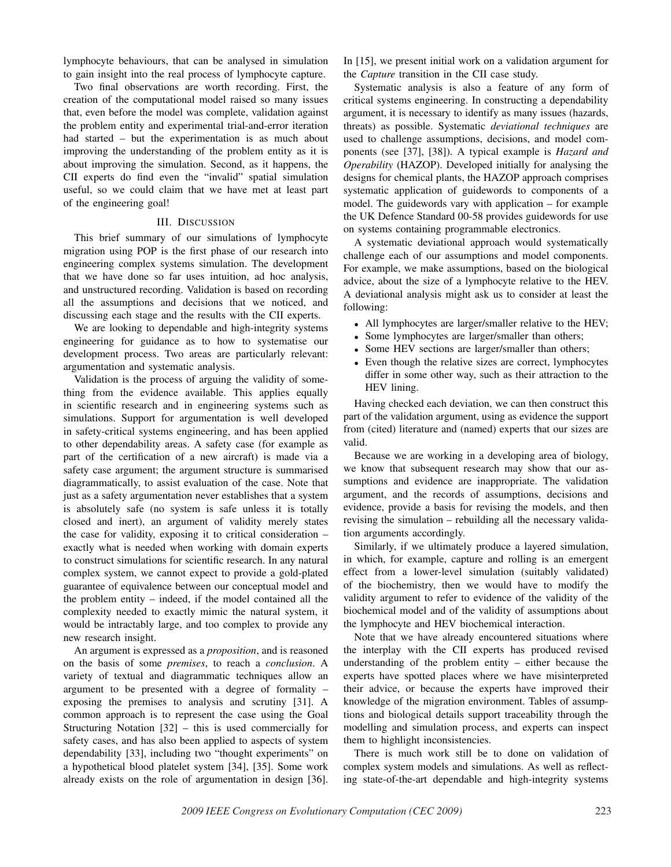lymphocyte behaviours, that can be analysed in simulation to gain insight into the real process of lymphocyte capture.

Two final observations are worth recording. First, the creation of the computational model raised so many issues that, even before the model was complete, validation against the problem entity and experimental trial-and-error iteration had started – but the experimentation is as much about improving the understanding of the problem entity as it is about improving the simulation. Second, as it happens, the CII experts do find even the "invalid" spatial simulation useful, so we could claim that we have met at least part of the engineering goal!

#### III. DISCUSSION

This brief summary of our simulations of lymphocyte migration using POP is the first phase of our research into engineering complex systems simulation. The development that we have done so far uses intuition, ad hoc analysis, and unstructured recording. Validation is based on recording all the assumptions and decisions that we noticed, and discussing each stage and the results with the CII experts.

We are looking to dependable and high-integrity systems engineering for guidance as to how to systematise our development process. Two areas are particularly relevant: argumentation and systematic analysis.

Validation is the process of arguing the validity of something from the evidence available. This applies equally in scientific research and in engineering systems such as simulations. Support for argumentation is well developed in safety-critical systems engineering, and has been applied to other dependability areas. A safety case (for example as part of the certification of a new aircraft) is made via a safety case argument; the argument structure is summarised diagrammatically, to assist evaluation of the case. Note that just as a safety argumentation never establishes that a system is absolutely safe (no system is safe unless it is totally closed and inert), an argument of validity merely states the case for validity, exposing it to critical consideration – exactly what is needed when working with domain experts to construct simulations for scientific research. In any natural complex system, we cannot expect to provide a gold-plated guarantee of equivalence between our conceptual model and the problem entity – indeed, if the model contained all the complexity needed to exactly mimic the natural system, it would be intractably large, and too complex to provide any new research insight.

An argument is expressed as a *proposition*, and is reasoned on the basis of some *premises*, to reach a *conclusion*. A variety of textual and diagrammatic techniques allow an argument to be presented with a degree of formality – exposing the premises to analysis and scrutiny [31]. A common approach is to represent the case using the Goal Structuring Notation [32] – this is used commercially for safety cases, and has also been applied to aspects of system dependability [33], including two "thought experiments" on a hypothetical blood platelet system [34], [35]. Some work already exists on the role of argumentation in design [36].

In [15], we present initial work on a validation argument for the *Capture* transition in the CII case study.

Systematic analysis is also a feature of any form of critical systems engineering. In constructing a dependability argument, it is necessary to identify as many issues (hazards, threats) as possible. Systematic *deviational techniques* are used to challenge assumptions, decisions, and model components (see [37], [38]). A typical example is *Hazard and Operability* (HAZOP). Developed initially for analysing the designs for chemical plants, the HAZOP approach comprises systematic application of guidewords to components of a model. The guidewords vary with application – for example the UK Defence Standard 00-58 provides guidewords for use on systems containing programmable electronics.

A systematic deviational approach would systematically challenge each of our assumptions and model components. For example, we make assumptions, based on the biological advice, about the size of a lymphocyte relative to the HEV. A deviational analysis might ask us to consider at least the following:

- All lymphocytes are larger/smaller relative to the HEV;
- Some lymphocytes are larger/smaller than others;
- Some HEV sections are larger/smaller than others;
- Even though the relative sizes are correct, lymphocytes differ in some other way, such as their attraction to the HEV lining.

Having checked each deviation, we can then construct this part of the validation argument, using as evidence the support from (cited) literature and (named) experts that our sizes are valid.

Because we are working in a developing area of biology, we know that subsequent research may show that our assumptions and evidence are inappropriate. The validation argument, and the records of assumptions, decisions and evidence, provide a basis for revising the models, and then revising the simulation – rebuilding all the necessary validation arguments accordingly.

Similarly, if we ultimately produce a layered simulation, in which, for example, capture and rolling is an emergent effect from a lower-level simulation (suitably validated) of the biochemistry, then we would have to modify the validity argument to refer to evidence of the validity of the biochemical model and of the validity of assumptions about the lymphocyte and HEV biochemical interaction.

Note that we have already encountered situations where the interplay with the CII experts has produced revised understanding of the problem entity – either because the experts have spotted places where we have misinterpreted their advice, or because the experts have improved their knowledge of the migration environment. Tables of assumptions and biological details support traceability through the modelling and simulation process, and experts can inspect them to highlight inconsistencies.

There is much work still be to done on validation of complex system models and simulations. As well as reflecting state-of-the-art dependable and high-integrity systems